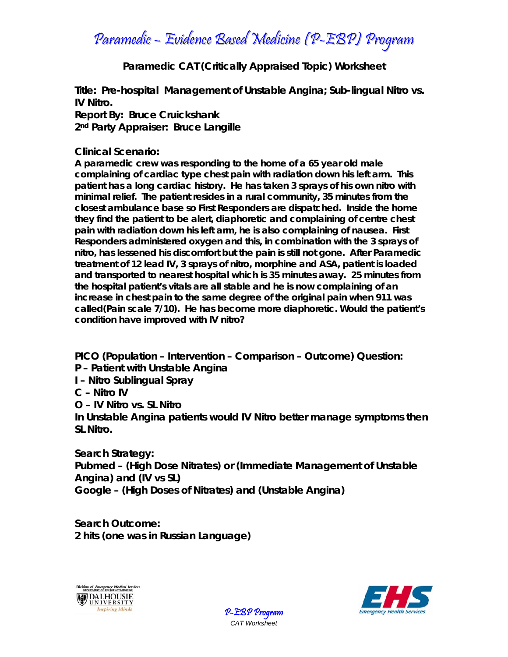### Paramedic – Evidence Based Medicine (P-EBP) Program

**Paramedic CAT (Critically Appraised Topic) Worksheet** 

**Title: Pre-hospital Management of Unstable Angina; Sub-lingual Nitro vs. IV Nitro.**

**Report By: Bruce Cruickshank 2nd Party Appraiser: Bruce Langille** 

**Clinical Scenario:** 

**A paramedic crew was responding to the home of a 65 year old male complaining of cardiac type chest pain with radiation down his left arm. This patient has a long cardiac history. He has taken 3 sprays of his own nitro with minimal relief. The patient resides in a rural community, 35 minutes from the closest ambulance base so First Responders are dispatched. Inside the home they find the patient to be alert, diaphoretic and complaining of centre chest pain with radiation down his left arm, he is also complaining of nausea. First Responders administered oxygen and this, in combination with the 3 sprays of nitro, has lessened his discomfort but the pain is still not gone. After Paramedic treatment of 12 lead IV, 3 sprays of nitro, morphine and ASA, patient is loaded and transported to nearest hospital which is 35 minutes away. 25 minutes from the hospital patient's vitals are all stable and he is now complaining of an increase in chest pain to the same degree of the original pain when 911 was called(Pain scale 7/10). He has become more diaphoretic. Would the patient's condition have improved with IV nitro?** 

**PICO (Population – Intervention – Comparison – Outcome) Question:** 

**P – Patient with Unstable Angina** 

**I – Nitro Sublingual Spray** 

**C – Nitro IV** 

**O – IV Nitro vs. SL Nitro** 

**In Unstable Angina patients would IV Nitro better manage symptoms then SL Nitro.** 

**Search Strategy: Pubmed – (High Dose Nitrates) or (Immediate Management of Unstable Angina) and (IV vs SL) Google – (High Doses of Nitrates) and (Unstable Angina)** 

**Search Outcome: 2 hits (one was in Russian Language)** 





P-EBP Program *CAT Worksheet*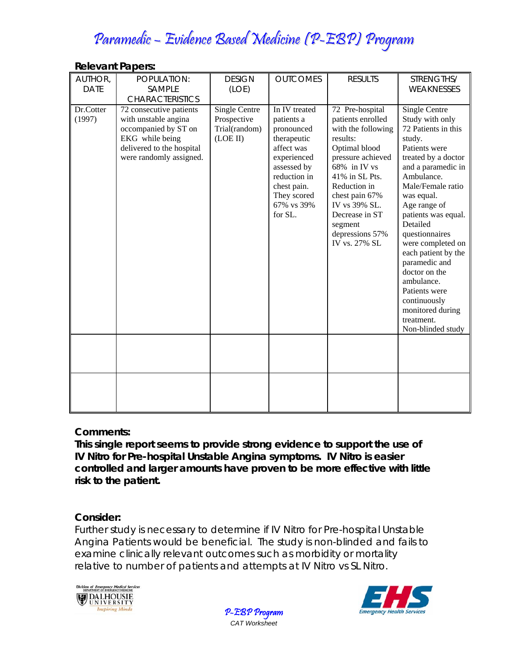# Paramedic – Evidence Based Medicine (P-EBP) Program

#### **Relevant Papers:**

| AUTHOR,<br><b>DATE</b> | POPULATION:<br>SAMPLE<br><b>CHARACTERISTICS</b>                                                                                                    | <b>DESIGN</b><br>(LOE)                                    | <b>OUTCOMES</b>                                                                                                                                                             | <b>RESULTS</b>                                                                                                                                                                                                                                                     | STRENGTHS/<br>WEAKNESSES                                                                                                                                                                                                                                                                                                                                                                                                                  |
|------------------------|----------------------------------------------------------------------------------------------------------------------------------------------------|-----------------------------------------------------------|-----------------------------------------------------------------------------------------------------------------------------------------------------------------------------|--------------------------------------------------------------------------------------------------------------------------------------------------------------------------------------------------------------------------------------------------------------------|-------------------------------------------------------------------------------------------------------------------------------------------------------------------------------------------------------------------------------------------------------------------------------------------------------------------------------------------------------------------------------------------------------------------------------------------|
| Dr.Cotter<br>(1997)    | 72 consecutive patients<br>with unstable angina<br>occompanied by ST on<br>EKG while being<br>delivered to the hospital<br>were randomly assigned. | Single Centre<br>Prospective<br>Trial(random)<br>(LOE II) | In IV treated<br>patients a<br>pronounced<br>therapeutic<br>affect was<br>experienced<br>assessed by<br>reduction in<br>chest pain.<br>They scored<br>67% vs 39%<br>for SL. | 72 Pre-hospital<br>patients enrolled<br>with the following<br>results:<br>Optimal blood<br>pressure achieved<br>68% in IV vs<br>41% in SL Pts.<br>Reduction in<br>chest pain 67%<br>IV vs 39% SL.<br>Decrease in ST<br>segment<br>depressions 57%<br>IV vs. 27% SL | Single Centre<br>Study with only<br>72 Patients in this<br>study.<br>Patients were<br>treated by a doctor<br>and a paramedic in<br>Ambulance.<br>Male/Female ratio<br>was equal.<br>Age range of<br>patients was equal.<br>Detailed<br>questionnaires<br>were completed on<br>each patient by the<br>paramedic and<br>doctor on the<br>ambulance.<br>Patients were<br>continuously<br>monitored during<br>treatment.<br>Non-blinded study |
|                        |                                                                                                                                                    |                                                           |                                                                                                                                                                             |                                                                                                                                                                                                                                                                    |                                                                                                                                                                                                                                                                                                                                                                                                                                           |
|                        |                                                                                                                                                    |                                                           |                                                                                                                                                                             |                                                                                                                                                                                                                                                                    |                                                                                                                                                                                                                                                                                                                                                                                                                                           |

#### **Comments:**

**This single report seems to provide strong evidence to support the use of IV Nitro for Pre-hospital Unstable Angina symptoms. IV Nitro is easier controlled and larger amounts have proven to be more effective with little risk to the patient.** 

#### **Consider:**

*Further study is necessary to determine if IV Nitro for Pre-hospital Unstable Angina Patients would be beneficial. The study is non-blinded and fails to examine clinically relevant outcomes such as morbidity or mortality relative to number of patients and attempts at IV Nitro vs SL Nitro.*





P-EBP Program *CAT Worksheet*